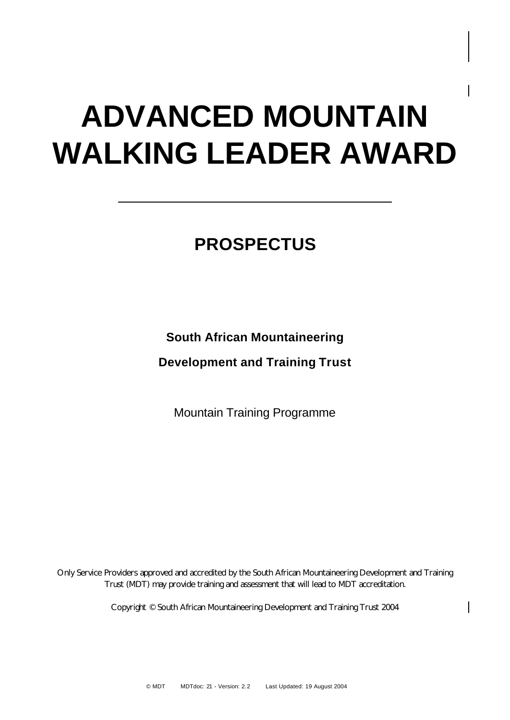# **ADVANCED MOUNTAIN WALKING LEADER AWARD**

# **PROSPECTUS**

#### **South African Mountaineering**

**Development and Training Trust**

Mountain Training Programme

Only Service Providers approved and accredited by the South African Mountaineering Development and Training Trust (MDT) may provide training and assessment that will lead to MDT accreditation.

Copyright © South African Mountaineering Development and Training Trust 2004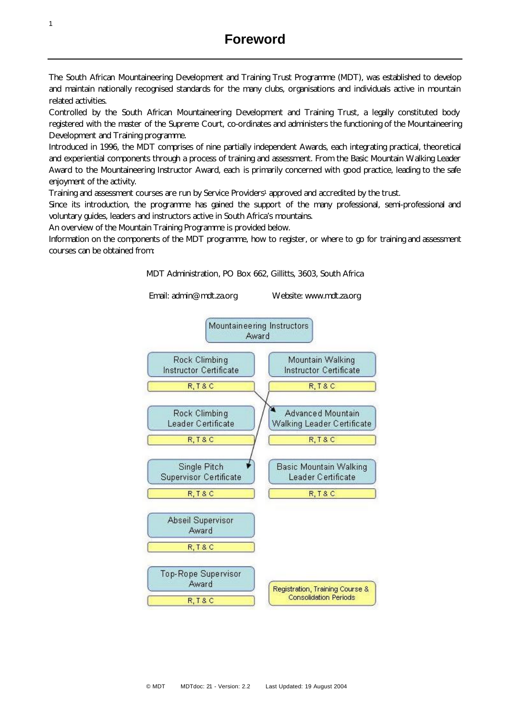The South African Mountaineering Development and Training Trust Programme (MDT), was established to develop and maintain nationally recognised standards for the many clubs, organisations and individuals active in mountain related activities.

Controlled by the South African Mountaineering Development and Training Trust, a legally constituted body registered with the master of the Supreme Court, co-ordinates and administers the functioning of the Mountaineering Development and Training programme.

Introduced in 1996, the MDT comprises of nine partially independent Awards, each integrating practical, theoretical and experiential components through a process of training and assessment. From the Basic Mountain Walking Leader Award to the Mountaineering Instructor Award, each is primarily concerned with good practice, leading to the safe enjoyment of the activity.

Training and assessment courses are run by Service Providers<sup>1</sup> approved and accredited by the trust.

Since its introduction, the programme has gained the support of the many professional, semi-professional and voluntary guides, leaders and instructors active in South Africa's mountains.

An overview of the Mountain Training Programme is provided below.

Information on the components of the MDT programme, how to register, or where to go for training and assessment courses can be obtained from:

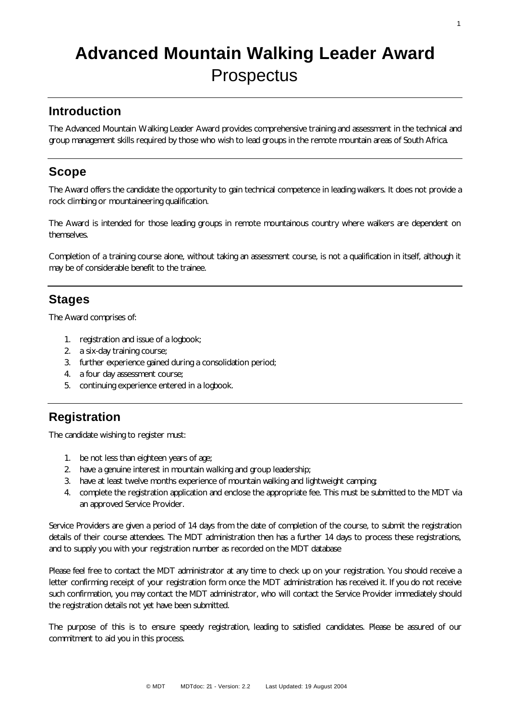# **Advanced Mountain Walking Leader Award Prospectus**

#### **Introduction**

The Advanced Mountain Walking Leader Award provides comprehensive training and assessment in the technical and group management skills required by those who wish to lead groups in the remote mountain areas of South Africa.

#### **Scope**

The Award offers the candidate the opportunity to gain technical competence in leading walkers. It does not provide a rock climbing or mountaineering qualification.

The Award is intended for those leading groups in remote mountainous country where walkers are dependent on themselves.

Completion of a training course alone, without taking an assessment course, is not a qualification in itself, although it may be of considerable benefit to the trainee.

#### **Stages**

The Award comprises of:

- 1. registration and issue of a logbook;
- 2. a six-day training course;
- 3. further experience gained during a consolidation period;
- 4. a four day assessment course;
- 5. continuing experience entered in a logbook.

#### **Registration**

The candidate wishing to register must:

- 1. be not less than eighteen years of age;
- 2. have a genuine interest in mountain walking and group leadership;
- 3. have at least twelve months experience of mountain walking and lightweight camping;
- 4. complete the registration application and enclose the appropriate fee. This must be submitted to the MDT via an approved Service Provider.

Service Providers are given a period of 14 days from the date of completion of the course, to submit the registration details of their course attendees. The MDT administration then has a further 14 days to process these registrations, and to supply you with your registration number as recorded on the MDT database

Please feel free to contact the MDT administrator at any time to check up on your registration. You should receive a letter confirming receipt of your registration form once the MDT administration has received it. If you do not receive such confirmation, you may contact the MDT administrator, who will contact the Service Provider immediately should the registration details not yet have been submitted.

The purpose of this is to ensure speedy registration, leading to satisfied candidates. Please be assured of our commitment to aid you in this process.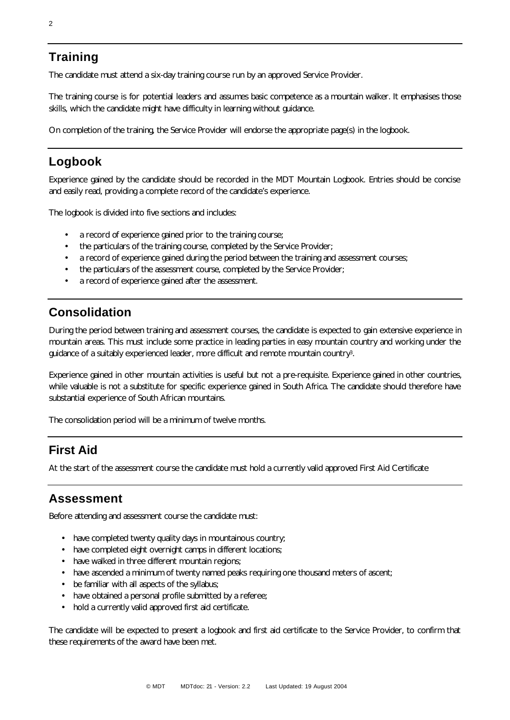#### **Training**

The candidate must attend a six-day training course run by an approved Service Provider.

The training course is for potential leaders and assumes basic competence as a mountain walker. It emphasises those skills, which the candidate might have difficulty in learning without guidance.

On completion of the training, the Service Provider will endorse the appropriate page(s) in the logbook.

## **Logbook**

Experience gained by the candidate should be recorded in the MDT Mountain Logbook. Entries should be concise and easily read, providing a complete record of the candidate's experience.

The logbook is divided into five sections and includes:

- a record of experience gained prior to the training course;
- the particulars of the training course, completed by the Service Provider;
- a record of experience gained during the period between the training and assessment courses;
- the particulars of the assessment course, completed by the Service Provider;
- a record of experience gained after the assessment.

### **Consolidation**

During the period between training and assessment courses, the candidate is expected to gain extensive experience in mountain areas. This must include some practice in leading parties in easy mountain country and working under the guidance of a suitably experienced leader, more difficult and remote mountain country3.

Experience gained in other mountain activities is useful but not a pre-requisite. Experience gained in other countries, while valuable is not a substitute for specific experience gained in South Africa. The candidate should therefore have substantial experience of South African mountains.

The consolidation period will be a minimum of twelve months.

#### **First Aid**

At the start of the assessment course the candidate must hold a currently valid approved First Aid Certificate

#### **Assessment**

Before attending and assessment course the candidate must:

- have completed twenty quality days in mountainous country;
- have completed eight overnight camps in different locations;
- have walked in three different mountain regions;
- have ascended a minimum of twenty named peaks requiring one thousand meters of ascent;
- be familiar with all aspects of the syllabus;
- have obtained a personal profile submitted by a referee;
- hold a currently valid approved first aid certificate.

The candidate will be expected to present a logbook and first aid certificate to the Service Provider, to confirm that these requirements of the award have been met.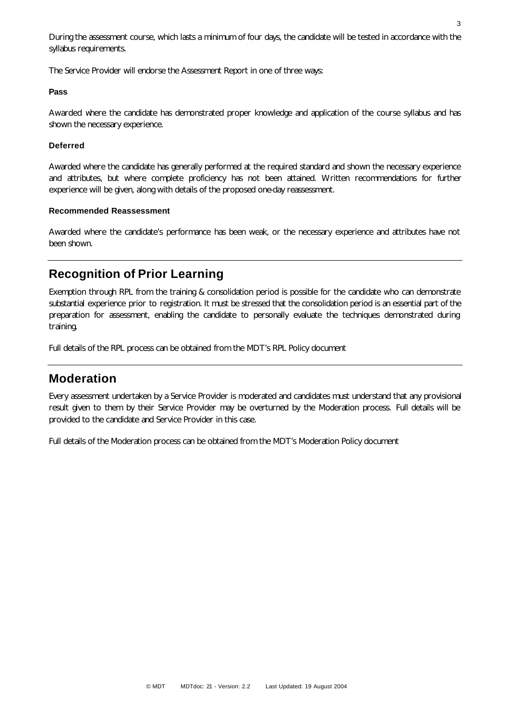During the assessment course, which lasts a minimum of four days, the candidate will be tested in accordance with the syllabus requirements.

The Service Provider will endorse the Assessment Report in one of three ways:

#### **Pass**

Awarded where the candidate has demonstrated proper knowledge and application of the course syllabus and has shown the necessary experience.

#### **Deferred**

Awarded where the candidate has generally performed at the required standard and shown the necessary experience and attributes, but where complete proficiency has not been attained. Written recommendations for further experience will be given, along with details of the proposed one-day reassessment.

#### **Recommended Reassessment**

Awarded where the candidate's performance has been weak, or the necessary experience and attributes have not been shown.

#### **Recognition of Prior Learning**

Exemption through RPL from the training & consolidation period is possible for the candidate who can demonstrate substantial experience prior to registration. It must be stressed that the consolidation period is an essential part of the preparation for assessment, enabling the candidate to personally evaluate the techniques demonstrated during training.

Full details of the RPL process can be obtained from the MDT's RPL Policy document

#### **Moderation**

Every assessment undertaken by a Service Provider is moderated and candidates must understand that any provisional result given to them by their Service Provider may be overturned by the Moderation process. Full details will be provided to the candidate and Service Provider in this case.

Full details of the Moderation process can be obtained from the MDT's Moderation Policy document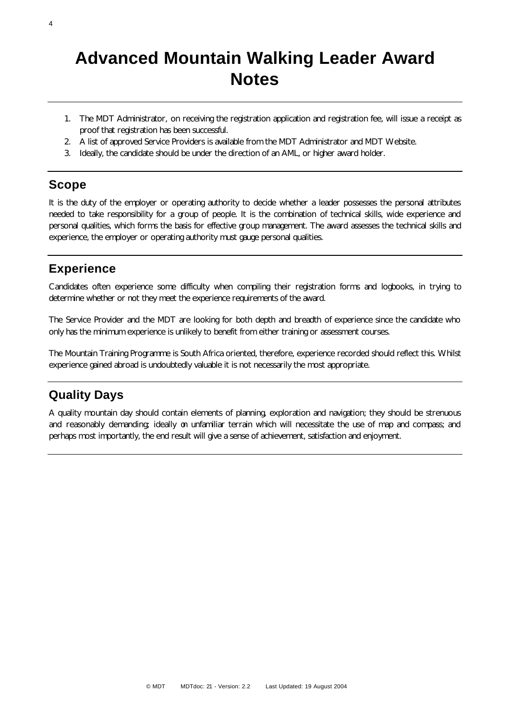## **Advanced Mountain Walking Leader Award Notes**

- 1. The MDT Administrator, on receiving the registration application and registration fee, will issue a receipt as proof that registration has been successful.
- 2. A list of approved Service Providers is available from the MDT Administrator and MDT Website.
- 3. Ideally, the candidate should be under the direction of an AML, or higher award holder.

#### **Scope**

It is the duty of the employer or operating authority to decide whether a leader possesses the personal attributes needed to take responsibility for a group of people. It is the combination of technical skills, wide experience and personal qualities, which forms the basis for effective group management. The award assesses the technical skills and experience, the employer or operating authority must gauge personal qualities.

#### **Experience**

Candidates often experience some difficulty when compiling their registration forms and logbooks, in trying to determine whether or not they meet the experience requirements of the award.

The Service Provider and the MDT are looking for both depth and breadth of experience since the candidate who only has the minimum experience is unlikely to benefit from either training or assessment courses.

The Mountain Training Programme is South Africa oriented, therefore, experience recorded should reflect this. Whilst experience gained abroad is undoubtedly valuable it is not necessarily the most appropriate.

#### **Quality Days**

A quality mountain day should contain elements of planning, exploration and navigation; they should be strenuous and reasonably demanding; ideally on unfamiliar terrain which will necessitate the use of map and compass; and perhaps most importantly, the end result will give a sense of achievement, satisfaction and enjoyment.